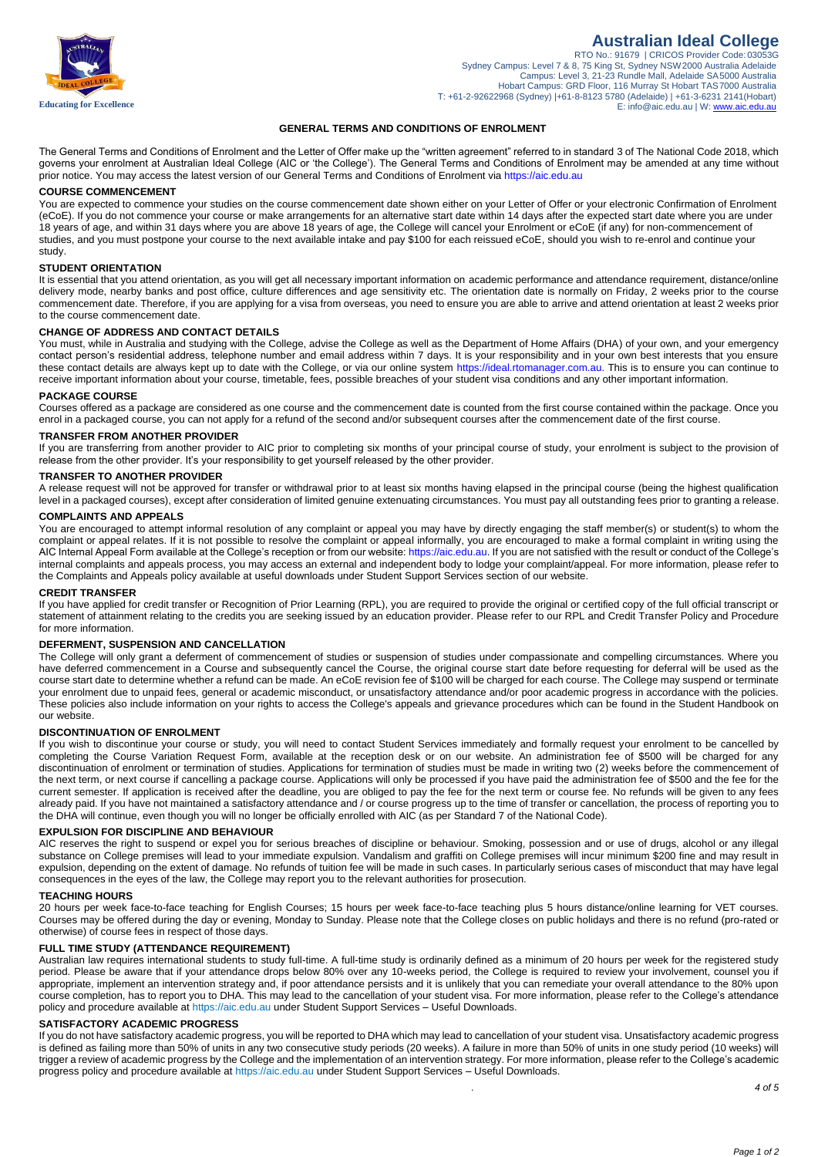

# **Australian Ideal College**

RTO No.: 91679 | CRICOS Provider Code: 03053G Sydney Campus: Level 7 & 8, 75 King St, Sydney NSW2000 Australia Adelaide Campus: Level 3, 21-23 Rundle Mall, Adelaide SA 5000 Australia<br>Hobart Campus: GRD Floor, 116 Murray St Hobart TAS7000 Australia<br>T: +61-2-92622968 (Sydney) |+61-8-8123 5780 (Adelaide) | +61-3-6231 2141(Hobart) E[: info@aic.edu.au |](mailto:admin@aic.edu.au) W[: www.aic.edu.au](http://www.aic.edu.au/)

## **GENERAL TERMS AND CONDITIONS OF ENROLMENT**

The General Terms and Conditions of Enrolment and the Letter of Offer make up the "written agreement" referred to in standard 3 of The National Code 2018, which governs your enrolment at Australian Ideal College (AIC or 'the College'). The General Terms and Conditions of Enrolment may be amended at any time without prior notice. You may access the latest version of our General Terms and Conditions of Enrolment vi[a https://aic.edu.au](https://aic.edu.au/)

# **COURSE COMMENCEMENT**

You are expected to commence your studies on the course commencement date shown either on your Letter of Offer or your electronic Confirmation of Enrolment (eCoE). If you do not commence your course or make arrangements for an alternative start date within 14 days after the expected start date where you are under 18 years of age, and within 31 days where you are above 18 years of age, the College will cancel your Enrolment or eCoE (if any) for non-commencement of studies, and you must postpone your course to the next available intake and pay \$100 for each reissued eCoE, should you wish to re-enrol and continue your study.

# **STUDENT ORIENTATION**

It is essential that you attend orientation, as you will get all necessary important information on academic performance and attendance requirement, distance/online delivery mode, nearby banks and post office, culture differences and age sensitivity etc. The orientation date is normally on Friday, 2 weeks prior to the course commencement date. Therefore, if you are applying for a visa from overseas, you need to ensure you are able to arrive and attend orientation at least 2 weeks prior to the course commencement date.

### **CHANGE OF ADDRESS AND CONTACT DETAILS**

You must, while in Australia and studying with the College, advise the College as well as the Department of Home Affairs (DHA) of your own, and your emergency contact person's residential address, telephone number and email address within 7 days. It is your responsibility and in your own best interests that you ensure these contact details are always kept up to date with the College, or via our online system [https://ideal.rtomanager.com.au.](https://ideal.rtomanager.com.au/Default.aspx) This is to ensure you can continue to receive important information about your course, timetable, fees, possible breaches of your student visa conditions and any other important information.

### **PACKAGE COURSE**

Courses offered as a package are considered as one course and the commencement date is counted from the first course contained within the package. Once you enrol in a packaged course, you can not apply for a refund of the second and/or subsequent courses after the commencement date of the first course.

### **TRANSFER FROM ANOTHER PROVIDER**

If you are transferring from another provider to AIC prior to completing six months of your principal course of study, your enrolment is subject to the provision of release from the other provider. It's your responsibility to get yourself released by the other provider.

# **TRANSFER TO ANOTHER PROVIDER**

A release request will not be approved for transfer or withdrawal prior to at least six months having elapsed in the principal course (being the highest qualification level in a packaged courses), except after consideration of limited genuine extenuating circumstances. You must pay all outstanding fees prior to granting a release.

# **COMPLAINTS AND APPEALS**

You are encouraged to attempt informal resolution of any complaint or appeal you may have by directly engaging the staff member(s) or student(s) to whom the complaint or appeal relates. If it is not possible to resolve the complaint or appeal informally, you are encouraged to make a formal complaint in writing using the AIC Internal Appeal Form available at the College's reception or from our website[: https://aic.edu.au.](https://aic.edu.au/) If you are not satisfied with the result or conduct of the College's internal complaints and appeals process, you may access an external and independent body to lodge your complaint/appeal. For more information, please refer to the Complaints and Appeals policy available at useful downloads under Student Support Services section of our website.

### **CREDIT TRANSFER**

If you have applied for credit transfer or Recognition of Prior Learning (RPL), you are required to provide the original or certified copy of the full official transcript or statement of attainment relating to the credits you are seeking issued by an education provider. Please refer to our RPL and Credit Transfer Policy and Procedure for more information.

### **DEFERMENT, SUSPENSION AND CANCELLATION**

The College will only grant a deferment of commencement of studies or suspension of studies under compassionate and compelling circumstances. Where you have deferred commencement in a Course and subsequently cancel the Course, the original course start date before requesting for deferral will be used as the course start date to determine whether a refund can be made. An eCoE revision fee of \$100 will be charged for each course. The College may suspend or terminate your enrolment due to unpaid fees, general or academic misconduct, or unsatisfactory attendance and/or poor academic progress in accordance with the policies. These policies also include information on your rights to access the College's appeals and grievance procedures which can be found in the Student Handbook on our website.

## **DISCONTINUATION OF ENROLMENT**

If you wish to discontinue your course or study, you will need to contact Student Services immediately and formally request your enrolment to be cancelled by completing the Course Variation Request Form, available at the reception desk or on our website. An administration fee of \$500 will be charged for any discontinuation of enrolment or termination of studies. Applications for termination of studies must be made in writing two (2) weeks before the commencement of the next term, or next course if cancelling a package course. Applications will only be processed if you have paid the administration fee of \$500 and the fee for the current semester. If application is received after the deadline, you are obliged to pay the fee for the next term or course fee. No refunds will be given to any fees already paid. If you have not maintained a satisfactory attendance and / or course progress up to the time of transfer or cancellation, the process of reporting you to the DHA will continue, even though you will no longer be officially enrolled with AIC (as per Standard 7 of the National Code).

#### **EXPULSION FOR DISCIPLINE AND BEHAVIOUR**

AIC reserves the right to suspend or expel you for serious breaches of discipline or behaviour. Smoking, possession and or use of drugs, alcohol or any illegal substance on College premises will lead to your immediate expulsion. Vandalism and graffiti on College premises will incur minimum \$200 fine and may result in expulsion, depending on the extent of damage. No refunds of tuition fee will be made in such cases. In particularly serious cases of misconduct that may have legal consequences in the eyes of the law, the College may report you to the relevant authorities for prosecution.

# **TEACHING HOURS**

20 hours per week face-to-face teaching for English Courses; 15 hours per week face-to-face teaching plus 5 hours distance/online learning for VET courses. Courses may be offered during the day or evening, Monday to Sunday. Please note that the College closes on public holidays and there is no refund (pro-rated or otherwise) of course fees in respect of those days.

# **FULL TIME STUDY (ATTENDANCE REQUIREMENT)**

Australian law requires international students to study full-time. A full-time study is ordinarily defined as a minimum of 20 hours per week for the registered study period. Please be aware that if your attendance drops below 80% over any 10-weeks period, the College is required to review your involvement, counsel you if appropriate, implement an intervention strategy and, if poor attendance persists and it is unlikely that you can remediate your overall attendance to the 80% upon course completion, has to report you to DHA. This may lead to the cancellation of your student visa. For more information, please refer to the College's attendance policy and procedure available at https://aic.edu.au under Student Support Services – Useful Downloads.

### **SATISFACTORY ACADEMIC PROGRESS**

If you do not have satisfactory academic progress, you will be reported to DHA which may lead to cancellation of your student visa. Unsatisfactory academic progress is defined as failing more than 50% of units in any two consecutive study periods (20 weeks). A failure in more than 50% of units in one study period (10 weeks) will trigger a review of academic progress by the College and the implementation of an intervention strategy. For more information, please refer to the College's academic progress policy and procedure available at https://aic.edu.au under Student Support Services – Useful Downloads.